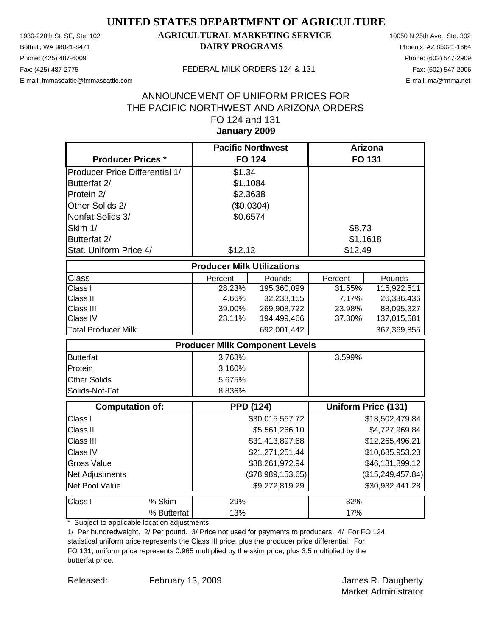Phone: (425) 487-6009 Phone: (602) 547-2909

### 1930-220th St. SE, Ste. 102 **AGRICULTURAL MARKETING SERVICE** 10050 N 25th Ave., Ste. 302 Bothell, WA 98021-8471 **DAIRY PROGRAMS** Phoenix, AZ 85021-1664

E-mail: fmmaseattle@fmmaseattle.com E-mail: ma@fmma.net

#### Fax: (425) 487-2775 FEDERAL MILK ORDERS 124 & 131

### **January 2009** ANNOUNCEMENT OF UNIFORM PRICES FOR THE PACIFIC NORTHWEST AND ARIZONA ORDERS FO 124 and 131

|                                       | <b>Pacific Northwest</b>              |                   | <b>Arizona</b> |                            |  |
|---------------------------------------|---------------------------------------|-------------------|----------------|----------------------------|--|
| <b>Producer Prices *</b>              |                                       | <b>FO 124</b>     |                | <b>FO 131</b>              |  |
| <b>Producer Price Differential 1/</b> | \$1.34                                |                   |                |                            |  |
| Butterfat 2/                          | \$1.1084                              |                   |                |                            |  |
| Protein 2/                            | \$2.3638                              |                   |                |                            |  |
| Other Solids 2/                       |                                       | (\$0.0304)        |                |                            |  |
| Nonfat Solids 3/                      | \$0.6574                              |                   |                |                            |  |
| Skim 1/                               |                                       |                   | \$8.73         |                            |  |
| Butterfat 2/                          |                                       |                   | \$1.1618       |                            |  |
| Stat. Uniform Price 4/                | \$12.12                               |                   | \$12.49        |                            |  |
| <b>Producer Milk Utilizations</b>     |                                       |                   |                |                            |  |
| <b>Class</b>                          | Percent                               | Pounds            | Percent        | Pounds                     |  |
| $\overline{\text{Class}}$ I           | 28.23%                                | 195,360,099       | 31.55%         | 115,922,511                |  |
| Class II                              | 4.66%                                 | 32,233,155        | 7.17%          | 26,336,436                 |  |
| Class III                             | 39.00%                                | 269,908,722       | 23.98%         | 88,095,327                 |  |
| Class IV                              | 28.11%                                | 194,499,466       | 37.30%         | 137,015,581                |  |
| <b>Total Producer Milk</b>            |                                       | 692,001,442       |                | 367,369,855                |  |
|                                       | <b>Producer Milk Component Levels</b> |                   |                |                            |  |
| <b>Butterfat</b>                      | 3.768%                                |                   | 3.599%         |                            |  |
| Protein                               | 3.160%                                |                   |                |                            |  |
| <b>Other Solids</b>                   | 5.675%                                |                   |                |                            |  |
| Solids-Not-Fat                        | 8.836%                                |                   |                |                            |  |
| Computation of:                       | <b>PPD (124)</b>                      |                   |                | <b>Uniform Price (131)</b> |  |
| Class I                               |                                       | \$30,015,557.72   |                | \$18,502,479.84            |  |
| Class II                              |                                       | \$5,561,266.10    |                | \$4,727,969.84             |  |
| Class III                             |                                       | \$31,413,897.68   |                | \$12,265,496.21            |  |
| Class IV                              |                                       | \$21,271,251.44   |                | \$10,685,953.23            |  |
| <b>Gross Value</b>                    |                                       | \$88,261,972.94   |                | \$46,181,899.12            |  |
| Net Adjustments                       |                                       | (\$78,989,153.65) |                | (\$15,249,457.84)          |  |
| Net Pool Value                        |                                       | \$9,272,819.29    |                | \$30,932,441.28            |  |
| % Skim<br>Class I                     | 29%                                   |                   | 32%            |                            |  |
| % Butterfat                           | 13%                                   |                   | 17%            |                            |  |

\* Subject to applicable location adjustments.

1/ Per hundredweight. 2/ Per pound. 3/ Price not used for payments to producers. 4/ For FO 124, statistical uniform price represents the Class III price, plus the producer price differential. For FO 131, uniform price represents 0.965 multiplied by the skim price, plus 3.5 multiplied by the butterfat price.

Released: February 13, 2009 Contract Communication Cames R. Daugherty Market Administrator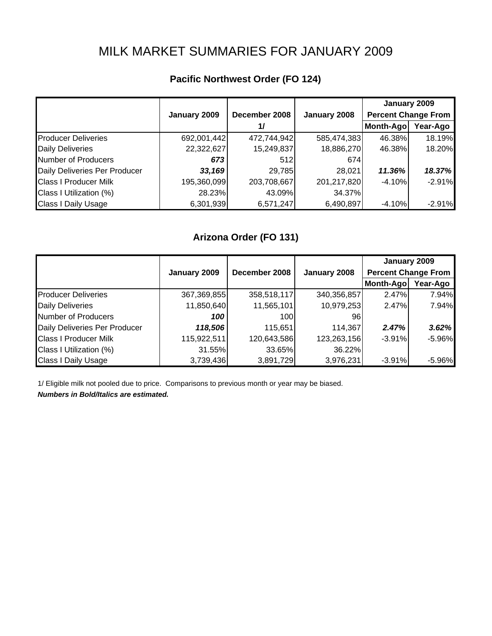# MILK MARKET SUMMARIES FOR JANUARY 2009

| Pacific Northwest Order (FO 124) |  |  |  |
|----------------------------------|--|--|--|
|----------------------------------|--|--|--|

|                               |              |               |              | January 2009               |          |
|-------------------------------|--------------|---------------|--------------|----------------------------|----------|
|                               | January 2009 | December 2008 | January 2008 | <b>Percent Change From</b> |          |
|                               |              | 1/            |              | Month-Ago                  | Year-Ago |
| <b>Producer Deliveries</b>    | 692,001,442  | 472,744,942   | 585,474,383  | 46.38%                     | 18.19%   |
| <b>Daily Deliveries</b>       | 22,322,627   | 15,249,837    | 18,886,270   | 46.38%                     | 18.20%   |
| Number of Producers           | 673          | 512           | 674          |                            |          |
| Daily Deliveries Per Producer | 33,169       | 29,785        | 28,021       | 11.36%                     | 18.37%   |
| <b>Class I Producer Milk</b>  | 195,360,099  | 203,708,667   | 201,217,820  | $-4.10%$                   | $-2.91%$ |
| Class I Utilization (%)       | 28.23%       | 43.09%        | 34.37%       |                            |          |
| <b>Class I Daily Usage</b>    | 6,301,939    | 6,571,247     | 6,490,897    | $-4.10%$                   | $-2.91%$ |

# **Arizona Order (FO 131)**

|                               |              |               |              | January 2009               |          |
|-------------------------------|--------------|---------------|--------------|----------------------------|----------|
|                               | January 2009 | December 2008 | January 2008 | <b>Percent Change From</b> |          |
|                               |              |               |              | Month-Ago                  | Year-Ago |
| <b>Producer Deliveries</b>    | 367,369,855  | 358,518,117   | 340,356,857  | 2.47%                      | 7.94%    |
| <b>Daily Deliveries</b>       | 11,850,640   | 11,565,101    | 10,979,253   | 2.47%                      | 7.94%    |
| Number of Producers           | 100          | 100           | 96           |                            |          |
| Daily Deliveries Per Producer | 118,506      | 115,651       | 114,367      | 2.47%                      | 3.62%    |
| <b>Class I Producer Milk</b>  | 115,922,511  | 120,643,586   | 123,263,156  | $-3.91%$                   | $-5.96%$ |
| Class I Utilization (%)       | 31.55%       | 33.65%        | 36.22%       |                            |          |
| <b>Class I Daily Usage</b>    | 3,739,436    | 3,891,729     | 3,976,231    | $-3.91%$                   | $-5.96%$ |

1/ Eligible milk not pooled due to price. Comparisons to previous month or year may be biased.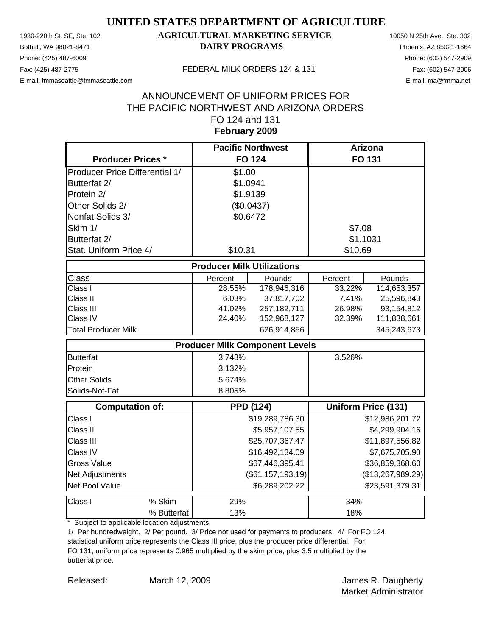Phone: (425) 487-6009 Phone: (602) 547-2909

### 1930-220th St. SE, Ste. 102 **AGRICULTURAL MARKETING SERVICE** 10050 N 25th Ave., Ste. 302 Bothell, WA 98021-8471 **DAIRY PROGRAMS** Phoenix, AZ 85021-1664

E-mail: fmmaseattle@fmmaseattle.com E-mail: ma@fmma.net

#### Fax: (425) 487-2775 FEDERAL MILK ORDERS 124 & 131

### **February 2009** ANNOUNCEMENT OF UNIFORM PRICES FOR THE PACIFIC NORTHWEST AND ARIZONA ORDERS FO 124 and 131

|                                       | <b>Pacific Northwest</b>              |                     | <b>Arizona</b> |                            |
|---------------------------------------|---------------------------------------|---------------------|----------------|----------------------------|
| <b>Producer Prices *</b>              | <b>FO 124</b>                         |                     |                | <b>FO 131</b>              |
| <b>Producer Price Differential 1/</b> | \$1.00                                |                     |                |                            |
| Butterfat 2/                          | \$1.0941                              |                     |                |                            |
| Protein 2/                            | \$1.9139                              |                     |                |                            |
| Other Solids 2/                       | (\$0.0437)                            |                     |                |                            |
| Nonfat Solids 3/                      | \$0.6472                              |                     |                |                            |
| Skim 1/                               |                                       |                     | \$7.08         |                            |
| Butterfat 2/                          |                                       |                     | \$1.1031       |                            |
| Stat. Uniform Price 4/                | \$10.31                               |                     | \$10.69        |                            |
|                                       | <b>Producer Milk Utilizations</b>     |                     |                |                            |
| <b>Class</b>                          | Percent                               | Pounds              | Percent        | Pounds                     |
| Class I                               | 28.55%                                | 178,946,316         | 33.22%         | 114,653,357                |
| Class II                              | 6.03%                                 | 37,817,702          | 7.41%          | 25,596,843                 |
| Class III                             | 41.02%                                | 257, 182, 711       | 26.98%         | 93,154,812                 |
| Class IV                              | 24.40%                                | 152,968,127         | 32.39%         | 111,838,661                |
| <b>Total Producer Milk</b>            |                                       | 626,914,856         |                | 345,243,673                |
|                                       | <b>Producer Milk Component Levels</b> |                     |                |                            |
| <b>Butterfat</b>                      | 3.743%                                |                     | 3.526%         |                            |
| Protein                               | 3.132%                                |                     |                |                            |
| <b>Other Solids</b>                   | 5.674%                                |                     |                |                            |
| Solids-Not-Fat                        | 8.805%                                |                     |                |                            |
| Computation of:                       | <b>PPD (124)</b>                      |                     |                | <b>Uniform Price (131)</b> |
| Class I                               |                                       | \$19,289,786.30     |                | \$12,986,201.72            |
| Class II                              |                                       | \$5,957,107.55      |                | \$4,299,904.16             |
| Class III                             |                                       | \$25,707,367.47     |                | \$11,897,556.82            |
| Class IV                              |                                       | \$16,492,134.09     |                | \$7,675,705.90             |
| <b>Gross Value</b>                    |                                       | \$67,446,395.41     |                | \$36,859,368.60            |
| Net Adjustments                       |                                       | (\$61, 157, 193.19) |                | (\$13,267,989.29)          |
| Net Pool Value                        |                                       | \$6,289,202.22      |                | \$23,591,379.31            |
| Class I<br>% Skim                     | 29%                                   |                     | 34%            |                            |
| % Butterfat                           | 13%                                   |                     | 18%            |                            |

\* Subject to applicable location adjustments.

1/ Per hundredweight. 2/ Per pound. 3/ Price not used for payments to producers. 4/ For FO 124, statistical uniform price represents the Class III price, plus the producer price differential. For FO 131, uniform price represents 0.965 multiplied by the skim price, plus 3.5 multiplied by the butterfat price.

Released: March 12, 2009 March 12, 2009 March 12, 2009 March 12, 2009 March 2010 March 2010 March 2010 March 20 Market Administrator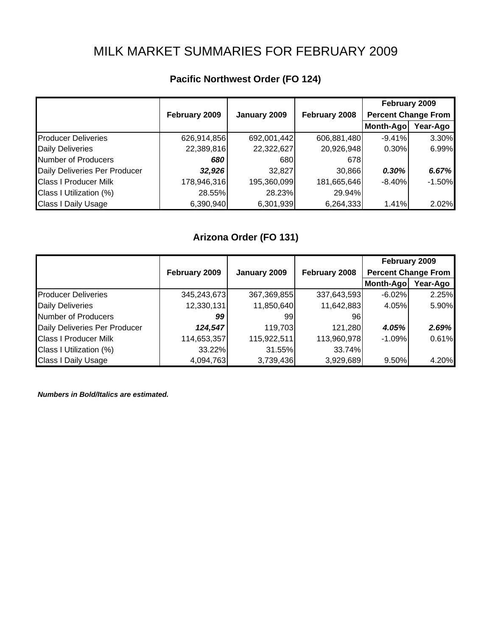# MILK MARKET SUMMARIES FOR FEBRUARY 2009

|                               |               |              |               | February 2009              |          |
|-------------------------------|---------------|--------------|---------------|----------------------------|----------|
|                               | February 2009 | January 2009 | February 2008 | <b>Percent Change From</b> |          |
|                               |               |              |               | Month-Ago                  | Year-Ago |
| <b>Producer Deliveries</b>    | 626,914,856   | 692,001,442  | 606,881,480   | $-9.41%$                   | 3.30%    |
| <b>Daily Deliveries</b>       | 22,389,816    | 22,322,627   | 20,926,948    | 0.30%                      | 6.99%    |
| Number of Producers           | 680           | 680          | 678           |                            |          |
| Daily Deliveries Per Producer | 32,926        | 32,827       | 30,866        | 0.30%                      | 6.67%    |
| <b>Class I Producer Milk</b>  | 178,946,316   | 195,360,099  | 181,665,646   | $-8.40%$                   | $-1.50%$ |
| Class I Utilization (%)       | 28.55%        | 28.23%       | 29.94%        |                            |          |
| <b>Class I Daily Usage</b>    | 6,390,940     | 6,301,939    | 6,264,333     | 1.41%                      | 2.02%    |

# **Pacific Northwest Order (FO 124)**

## **Arizona Order (FO 131)**

|                               |               |              |               | February 2009              |          |
|-------------------------------|---------------|--------------|---------------|----------------------------|----------|
|                               | February 2009 | January 2009 | February 2008 | <b>Percent Change From</b> |          |
|                               |               |              |               | Month-Ago                  | Year-Ago |
| <b>Producer Deliveries</b>    | 345,243,673   | 367,369,855  | 337,643,593   | $-6.02\%$                  | 2.25%    |
| <b>Daily Deliveries</b>       | 12,330,131    | 11,850,640   | 11,642,883    | 4.05%                      | 5.90%    |
| Number of Producers           | 99            | 991          | 96            |                            |          |
| Daily Deliveries Per Producer | 124,547       | 119,703      | 121,280       | 4.05%                      | 2.69%    |
| <b>Class I Producer Milk</b>  | 114,653,357   | 115,922,511  | 113,960,978   | $-1.09%$                   | 0.61%    |
| Class I Utilization (%)       | 33.22%        | 31.55%       | 33.74%        |                            |          |
| <b>Class I Daily Usage</b>    | 4,094,763     | 3,739,436    | 3,929,689     | 9.50%                      | 4.20%    |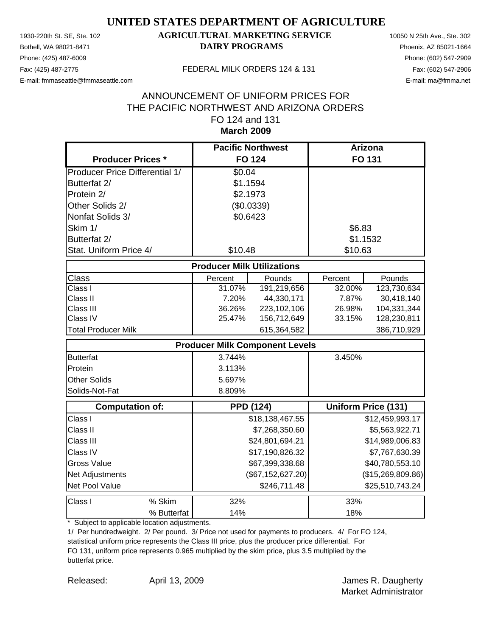Phone: (425) 487-6009 Phone: (602) 547-2909

### 1930-220th St. SE, Ste. 102 **AGRICULTURAL MARKETING SERVICE** 10050 N 25th Ave., Ste. 302 Bothell, WA 98021-8471 **DAIRY PROGRAMS** Phoenix, AZ 85021-1664

E-mail: fmmaseattle@fmmaseattle.com E-mail: ma@fmma.net

#### Fax: (425) 487-2775 FEDERAL MILK ORDERS 124 & 131

### **March 2009** ANNOUNCEMENT OF UNIFORM PRICES FOR THE PACIFIC NORTHWEST AND ARIZONA ORDERS FO 124 and 131

|                                       |                                       | <b>Pacific Northwest</b> |          | Arizona                    |
|---------------------------------------|---------------------------------------|--------------------------|----------|----------------------------|
| <b>Producer Prices *</b>              |                                       | <b>FO 124</b>            |          | FO 131                     |
| <b>Producer Price Differential 1/</b> | \$0.04                                |                          |          |                            |
| Butterfat 2/                          |                                       | \$1.1594                 |          |                            |
| Protein 2/                            |                                       | \$2.1973                 |          |                            |
| Other Solids 2/                       |                                       | (\$0.0339)               |          |                            |
| Nonfat Solids 3/                      |                                       | \$0.6423                 |          |                            |
| Skim 1/                               |                                       |                          | \$6.83   |                            |
| Butterfat 2/                          |                                       |                          | \$1.1532 |                            |
| Stat. Uniform Price 4/                | \$10.48                               |                          | \$10.63  |                            |
|                                       | <b>Producer Milk Utilizations</b>     |                          |          |                            |
| Class                                 | Percent                               | Pounds                   | Percent  | Pounds                     |
| Class I                               | 31.07%                                | 191,219,656              | 32.00%   | 123,730,634                |
| Class II                              | 7.20%                                 | 44,330,171               | 7.87%    | 30,418,140                 |
| Class III                             | 36.26%                                | 223,102,106              | 26.98%   | 104,331,344                |
| Class IV                              | 25.47%                                | 156,712,649              | 33.15%   | 128,230,811                |
| <b>Total Producer Milk</b>            |                                       | 615,364,582              |          | 386,710,929                |
|                                       | <b>Producer Milk Component Levels</b> |                          |          |                            |
| <b>Butterfat</b>                      | 3.744%                                |                          | 3.450%   |                            |
| Protein                               | 3.113%                                |                          |          |                            |
| Other Solids                          | 5.697%                                |                          |          |                            |
| Solids-Not-Fat                        | 8.809%                                |                          |          |                            |
| <b>Computation of:</b>                |                                       | <b>PPD (124)</b>         |          | <b>Uniform Price (131)</b> |
| Class I                               |                                       | \$18,138,467.55          |          | \$12,459,993.17            |
| Class II                              |                                       | \$7,268,350.60           |          | \$5,563,922.71             |
| Class III                             |                                       | \$24,801,694.21          |          | \$14,989,006.83            |
| Class IV                              |                                       | \$17,190,826.32          |          | \$7,767,630.39             |
| <b>Gross Value</b>                    |                                       | \$67,399,338.68          |          | \$40,780,553.10            |
| Net Adjustments                       |                                       | (\$67, 152, 627.20)      |          | (\$15,269,809.86)          |
| Net Pool Value                        |                                       | \$246,711.48             |          | \$25,510,743.24            |
| % Skim<br>Class I                     | 32%                                   |                          | 33%      |                            |
| % Butterfat                           | 14%                                   |                          | 18%      |                            |

\* Subject to applicable location adjustments.

1/ Per hundredweight. 2/ Per pound. 3/ Price not used for payments to producers. 4/ For FO 124, statistical uniform price represents the Class III price, plus the producer price differential. For FO 131, uniform price represents 0.965 multiplied by the skim price, plus 3.5 multiplied by the butterfat price.

Released: April 13, 2009 Released: April 13, 2009 Market Administrator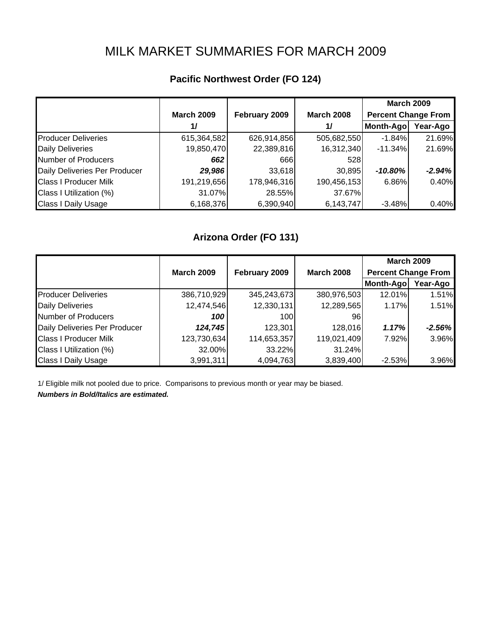# MILK MARKET SUMMARIES FOR MARCH 2009

## **Pacific Northwest Order (FO 124)**

|                               |                   |               |                   | <b>March 2009</b>          |          |
|-------------------------------|-------------------|---------------|-------------------|----------------------------|----------|
|                               | <b>March 2009</b> | February 2009 | <b>March 2008</b> | <b>Percent Change From</b> |          |
|                               | 1/                |               | $\frac{1}{2}$     | Month-Ago                  | Year-Ago |
| <b>Producer Deliveries</b>    | 615,364,582       | 626,914,856   | 505,682,550       | $-1.84%$                   | 21.69%   |
| <b>Daily Deliveries</b>       | 19,850,470        | 22,389,816    | 16,312,340        | $-11.34\%$                 | 21.69%   |
| <b>Number of Producers</b>    | 662               | 666           | 528               |                            |          |
| Daily Deliveries Per Producer | 29,986            | 33,618        | 30,895            | $-10.80%$                  | $-2.94%$ |
| <b>Class I Producer Milk</b>  | 191,219,656       | 178,946,316   | 190,456,153       | 6.86%                      | 0.40%    |
| Class I Utilization (%)       | 31.07%            | 28.55%        | 37.67%            |                            |          |
| <b>Class I Daily Usage</b>    | 6,168,376         | 6,390,940     | 6,143,747         | $-3.48%$                   | 0.40%    |

### **Arizona Order (FO 131)**

|                               |                   |               |                   | <b>March 2009</b>          |          |
|-------------------------------|-------------------|---------------|-------------------|----------------------------|----------|
|                               | <b>March 2009</b> | February 2009 | <b>March 2008</b> | <b>Percent Change From</b> |          |
|                               |                   |               |                   | Month-Ago                  | Year-Ago |
| <b>Producer Deliveries</b>    | 386,710,929       | 345,243,673   | 380,976,503       | 12.01%                     | 1.51%    |
| <b>Daily Deliveries</b>       | 12,474,546        | 12,330,131    | 12,289,565        | 1.17%                      | 1.51%    |
| Number of Producers           | 100               | 100           | 961               |                            |          |
| Daily Deliveries Per Producer | 124,745           | 123,301       | 128,016           | 1.17%                      | $-2.56%$ |
| <b>Class I Producer Milk</b>  | 123,730,634       | 114,653,357   | 119,021,409       | 7.92%                      | 3.96%    |
| Class I Utilization (%)       | 32.00%            | 33.22%        | 31.24%            |                            |          |
| <b>Class I Daily Usage</b>    | 3,991,311         | 4,094,763     | 3,839,400         | $-2.53%$                   | 3.96%    |

1/ Eligible milk not pooled due to price. Comparisons to previous month or year may be biased.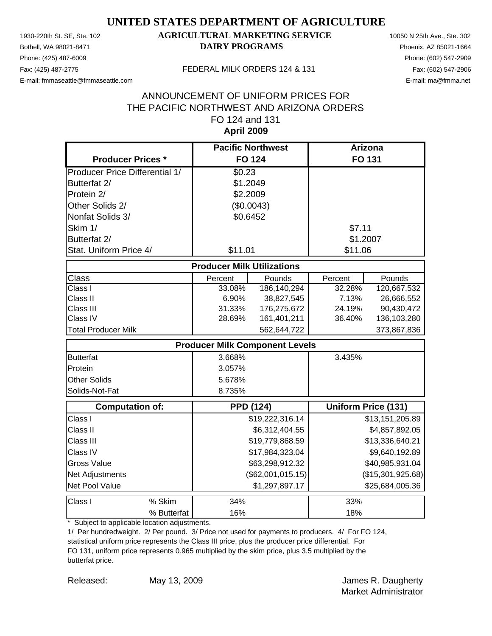Phone: (425) 487-6009 Phone: (602) 547-2909

### 1930-220th St. SE, Ste. 102 **AGRICULTURAL MARKETING SERVICE** 10050 N 25th Ave., Ste. 302 Bothell, WA 98021-8471 **DAIRY PROGRAMS** Phoenix, AZ 85021-1664

E-mail: fmmaseattle@fmmaseattle.com E-mail: ma@fmma.net

#### Fax: (425) 487-2775 FEDERAL MILK ORDERS 124 & 131

### **April 2009** ANNOUNCEMENT OF UNIFORM PRICES FOR THE PACIFIC NORTHWEST AND ARIZONA ORDERS FO 124 and 131

|                                       | <b>Pacific Northwest</b>              |                  | Arizona  |                            |
|---------------------------------------|---------------------------------------|------------------|----------|----------------------------|
| <b>Producer Prices *</b>              |                                       | <b>FO 124</b>    |          | FO 131                     |
| <b>Producer Price Differential 1/</b> | \$0.23                                |                  |          |                            |
| Butterfat 2/                          | \$1.2049                              |                  |          |                            |
| Protein 2/                            | \$2.2009                              |                  |          |                            |
| Other Solids 2/                       |                                       | (\$0.0043)       |          |                            |
| Nonfat Solids 3/                      | \$0.6452                              |                  |          |                            |
| Skim 1/                               |                                       |                  | \$7.11   |                            |
| Butterfat 2/                          |                                       |                  | \$1.2007 |                            |
| Stat. Uniform Price 4/                | \$11.01                               |                  | \$11.06  |                            |
|                                       | <b>Producer Milk Utilizations</b>     |                  |          |                            |
| Class                                 | Percent                               | Pounds           | Percent  | Pounds                     |
| Class I                               | 33.08%                                | 186,140,294      | 32.28%   | 120,667,532                |
| Class II                              | 6.90%                                 | 38,827,545       | 7.13%    | 26,666,552                 |
| Class III                             | 31.33%                                | 176,275,672      | 24.19%   | 90,430,472                 |
| Class IV                              | 28.69%                                | 161,401,211      | 36.40%   | 136,103,280                |
| <b>Total Producer Milk</b>            |                                       | 562,644,722      |          | 373,867,836                |
|                                       | <b>Producer Milk Component Levels</b> |                  |          |                            |
| <b>Butterfat</b>                      | 3.668%                                |                  | 3.435%   |                            |
| Protein                               | 3.057%                                |                  |          |                            |
| Other Solids                          | 5.678%                                |                  |          |                            |
| Solids-Not-Fat                        | 8.735%                                |                  |          |                            |
| <b>Computation of:</b>                |                                       | <b>PPD (124)</b> |          | <b>Uniform Price (131)</b> |
| Class I                               |                                       | \$19,222,316.14  |          | \$13,151,205.89            |
| Class II                              |                                       | \$6,312,404.55   |          | \$4,857,892.05             |
| Class III                             |                                       | \$19,779,868.59  |          | \$13,336,640.21            |
| Class IV                              |                                       | \$17,984,323.04  |          | \$9,640,192.89             |
| <b>Gross Value</b>                    |                                       | \$63,298,912.32  |          | \$40,985,931.04            |
| Net Adjustments                       | (\$62,001,015.15)                     |                  |          | (\$15,301,925.68)          |
| Net Pool Value                        |                                       | \$1,297,897.17   |          | \$25,684,005.36            |
| % Skim<br>Class I                     | 34%                                   |                  | 33%      |                            |
| % Butterfat                           | 16%                                   |                  | 18%      |                            |

\* Subject to applicable location adjustments.

1/ Per hundredweight. 2/ Per pound. 3/ Price not used for payments to producers. 4/ For FO 124, statistical uniform price represents the Class III price, plus the producer price differential. For FO 131, uniform price represents 0.965 multiplied by the skim price, plus 3.5 multiplied by the butterfat price.

Released: May 13, 2009 May 13, 2009 May 13, 2009 May 13, 2009 May 13, 2009 May 2009 May 2009 May 2011 Market Administrator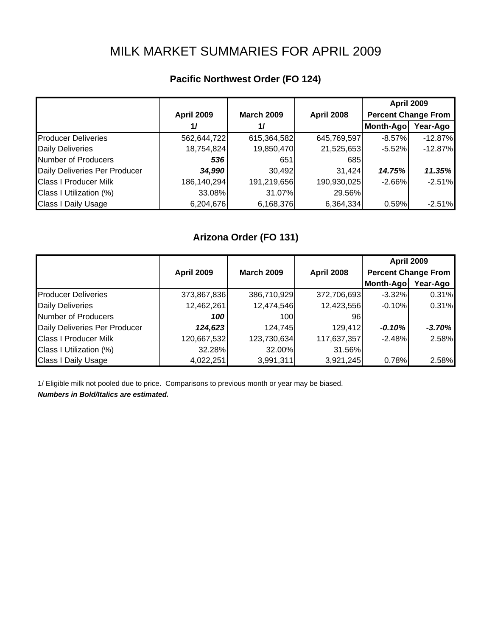# MILK MARKET SUMMARIES FOR APRIL 2009

# **Pacific Northwest Order (FO 124)**

|                               |                   |                   |             | <b>April 2009</b>          |           |
|-------------------------------|-------------------|-------------------|-------------|----------------------------|-----------|
|                               | <b>April 2009</b> | <b>March 2009</b> | April 2008  | <b>Percent Change From</b> |           |
|                               | 1/                | 1/                |             | Month-Ago                  | Year-Ago  |
| <b>Producer Deliveries</b>    | 562,644,722       | 615,364,582       | 645,769,597 | $-8.57%$                   | $-12.87%$ |
| <b>Daily Deliveries</b>       | 18,754,824        | 19,850,470        | 21,525,653  | $-5.52%$                   | $-12.87%$ |
| <b>Number of Producers</b>    | 536               | 651               | 685         |                            |           |
| Daily Deliveries Per Producer | 34,990            | 30,492            | 31,424      | 14.75%                     | 11.35%    |
| <b>Class I Producer Milk</b>  | 186,140,294       | 191,219,656       | 190,930,025 | $-2.66\%$                  | $-2.51%$  |
| Class I Utilization (%)       | 33.08%            | 31.07%            | 29.56%      |                            |           |
| <b>Class I Daily Usage</b>    | 6,204,676         | 6,168,376         | 6,364,334   | 0.59%                      | $-2.51%$  |

### **Arizona Order (FO 131)**

|                               |                   |                   |                   | <b>April 2009</b>          |          |
|-------------------------------|-------------------|-------------------|-------------------|----------------------------|----------|
|                               | <b>April 2009</b> | <b>March 2009</b> | <b>April 2008</b> | <b>Percent Change From</b> |          |
|                               |                   |                   |                   | Month-Ago                  | Year-Ago |
| <b>Producer Deliveries</b>    | 373,867,836       | 386,710,929       | 372,706,693       | $-3.32%$                   | 0.31%    |
| <b>Daily Deliveries</b>       | 12,462,261        | 12,474,546        | 12,423,556        | $-0.10%$                   | 0.31%    |
| Number of Producers           | 100               | 100               | 96                |                            |          |
| Daily Deliveries Per Producer | 124,623           | 124,745           | 129,412           | $-0.10%$                   | $-3.70%$ |
| <b>Class I Producer Milk</b>  | 120,667,532       | 123,730,634       | 117,637,357       | $-2.48%$                   | 2.58%    |
| Class I Utilization (%)       | 32.28%            | 32.00%            | 31.56%            |                            |          |
| <b>Class I Daily Usage</b>    | 4,022,251         | 3,991,311         | 3,921,245         | 0.78%                      | 2.58%    |

1/ Eligible milk not pooled due to price. Comparisons to previous month or year may be biased.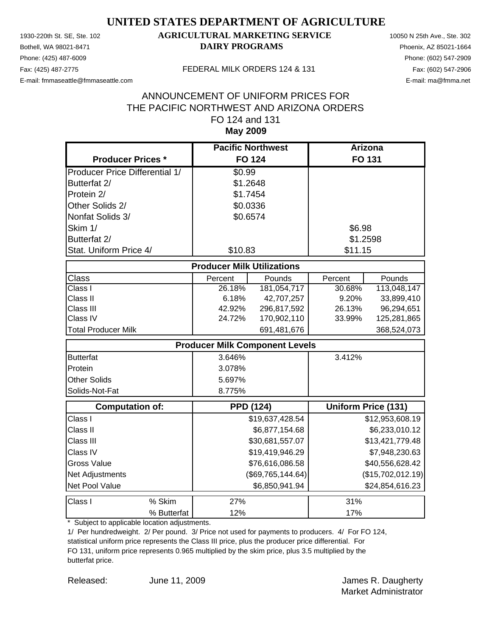Phone: (425) 487-6009 Phone: (602) 547-2909

### 1930-220th St. SE, Ste. 102 **AGRICULTURAL MARKETING SERVICE** 10050 N 25th Ave., Ste. 302 Bothell, WA 98021-8471 **DAIRY PROGRAMS** Phoenix, AZ 85021-1664

E-mail: fmmaseattle@fmmaseattle.com E-mail: ma@fmma.net

#### Fax: (425) 487-2775 FEDERAL MILK ORDERS 124 & 131

### **May 2009** ANNOUNCEMENT OF UNIFORM PRICES FOR THE PACIFIC NORTHWEST AND ARIZONA ORDERS FO 124 and 131

|                                       | <b>Pacific Northwest</b>          |                                       | <b>Arizona</b> |                            |
|---------------------------------------|-----------------------------------|---------------------------------------|----------------|----------------------------|
| <b>Producer Prices *</b>              |                                   | <b>FO 124</b>                         |                | <b>FO 131</b>              |
| <b>Producer Price Differential 1/</b> | \$0.99                            |                                       |                |                            |
| Butterfat 2/                          | \$1.2648                          |                                       |                |                            |
| Protein 2/                            | \$1.7454                          |                                       |                |                            |
| Other Solids 2/                       | \$0.0336                          |                                       |                |                            |
| Nonfat Solids 3/                      | \$0.6574                          |                                       |                |                            |
| Skim 1/                               |                                   |                                       | \$6.98         |                            |
| Butterfat 2/                          |                                   |                                       | \$1.2598       |                            |
| Stat. Uniform Price 4/                | \$10.83                           |                                       | \$11.15        |                            |
|                                       | <b>Producer Milk Utilizations</b> |                                       |                |                            |
| Class                                 | Percent                           | Pounds                                | Percent        | Pounds                     |
| Class I                               | 26.18%                            | 181,054,717                           | 30.68%         | 113,048,147                |
| Class II                              | 6.18%                             | 42,707,257                            | 9.20%          | 33,899,410                 |
| Class III                             | 42.92%                            | 296,817,592                           | 26.13%         | 96,294,651                 |
| Class IV                              | 24.72%                            | 170,902,110                           | 33.99%         | 125,281,865                |
| <b>Total Producer Milk</b>            |                                   | 691,481,676                           |                | 368,524,073                |
|                                       |                                   | <b>Producer Milk Component Levels</b> |                |                            |
| <b>Butterfat</b>                      | 3.646%                            |                                       | 3.412%         |                            |
| Protein                               | 3.078%                            |                                       |                |                            |
| Other Solids                          | 5.697%                            |                                       |                |                            |
| Solids-Not-Fat                        | 8.775%                            |                                       |                |                            |
| <b>Computation of:</b>                |                                   | <b>PPD (124)</b>                      |                | <b>Uniform Price (131)</b> |
| Class I                               |                                   | \$19,637,428.54                       |                | \$12,953,608.19            |
| Class II                              |                                   | \$6,877,154.68                        |                | \$6,233,010.12             |
| Class III                             |                                   | \$30,681,557.07                       |                | \$13,421,779.48            |
| Class IV                              |                                   | \$19,419,946.29                       |                | \$7,948,230.63             |
| <b>Gross Value</b>                    |                                   | \$76,616,086.58                       |                | \$40,556,628.42            |
| Net Adjustments                       |                                   | (\$69,765,144.64)                     |                | (\$15,702,012.19)          |
| Net Pool Value                        |                                   | \$6,850,941.94                        |                | \$24,854,616.23            |
| Class I<br>% Skim                     | 27%                               |                                       | 31%            |                            |
| % Butterfat                           | 12%                               |                                       | 17%            |                            |

\* Subject to applicable location adjustments.

1/ Per hundredweight. 2/ Per pound. 3/ Price not used for payments to producers. 4/ For FO 124, statistical uniform price represents the Class III price, plus the producer price differential. For FO 131, uniform price represents 0.965 multiplied by the skim price, plus 3.5 multiplied by the butterfat price.

Released: June 11, 2009 **Southern Contract Contract Contract Contract Contract Contract Contract Contract Contract Contract Contract Contract Contract Contract Contract Contract Contract Contract Contract Contract Contract** Market Administrator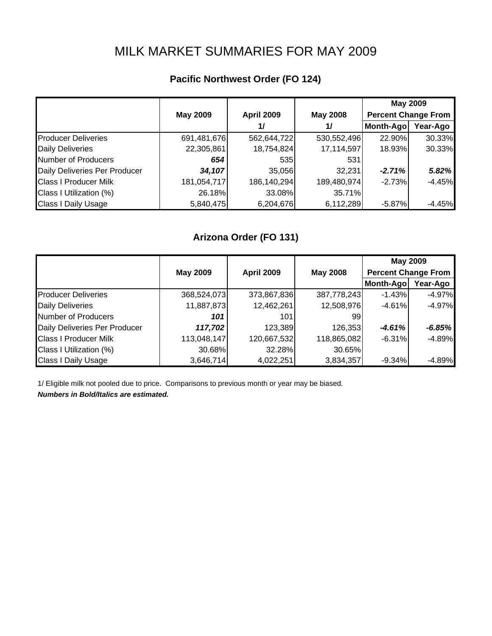# MILK MARKET SUMMARIES FOR MAY 2009

# **Pacific Northwest Order (FO 124)**

|                               |                 |                   |                 | <b>May 2009</b>            |          |
|-------------------------------|-----------------|-------------------|-----------------|----------------------------|----------|
|                               | <b>May 2009</b> | <b>April 2009</b> | <b>May 2008</b> | <b>Percent Change From</b> |          |
|                               |                 | 1/                | $\frac{1}{2}$   | Month-Ago                  | Year-Ago |
| <b>Producer Deliveries</b>    | 691,481,676     | 562,644,722       | 530,552,496     | 22.90%                     | 30.33%   |
| <b>Daily Deliveries</b>       | 22,305,861      | 18,754,824        | 17,114,597      | 18.93%                     | 30.33%   |
| Number of Producers           | 654             | 535               | 531             |                            |          |
| Daily Deliveries Per Producer | 34,107          | 35,056            | 32,231          | $-2.71%$                   | 5.82%    |
| <b>Class I Producer Milk</b>  | 181,054,717     | 186,140,294       | 189,480,974     | $-2.73%$                   | $-4.45%$ |
| Class I Utilization (%)       | 26.18%          | 33.08%            | 35.71%          |                            |          |
| <b>Class I Daily Usage</b>    | 5,840,475       | 6,204,676         | 6,112,289       | $-5.87%$                   | $-4.45%$ |

## **Arizona Order (FO 131)**

|                               |                 |                   |                 | <b>May 2009</b>            |          |  |
|-------------------------------|-----------------|-------------------|-----------------|----------------------------|----------|--|
|                               | <b>May 2009</b> | <b>April 2009</b> | <b>May 2008</b> | <b>Percent Change From</b> |          |  |
|                               |                 |                   |                 | Month-Ago                  | Year-Ago |  |
| <b>Producer Deliveries</b>    | 368,524,073     | 373,867,836       | 387,778,243     | $-1.43%$                   | $-4.97%$ |  |
| <b>Daily Deliveries</b>       | 11,887,873      | 12,462,261        | 12,508,976      | $-4.61%$                   | $-4.97%$ |  |
| Number of Producers           | 101             | 101               | 99              |                            |          |  |
| Daily Deliveries Per Producer | 117,702         | 123,389           | 126,353         | -4.61%                     | $-6.85%$ |  |
| <b>Class I Producer Milk</b>  | 113,048,147     | 120,667,532       | 118,865,082     | $-6.31\%$                  | $-4.89%$ |  |
| Class I Utilization (%)       | 30.68%          | 32.28%            | 30.65%          |                            |          |  |
| <b>Class I Daily Usage</b>    | 3,646,714       | 4,022,251         | 3,834,357       | $-9.34%$                   | $-4.89%$ |  |

1/ Eligible milk not pooled due to price. Comparisons to previous month or year may be biased.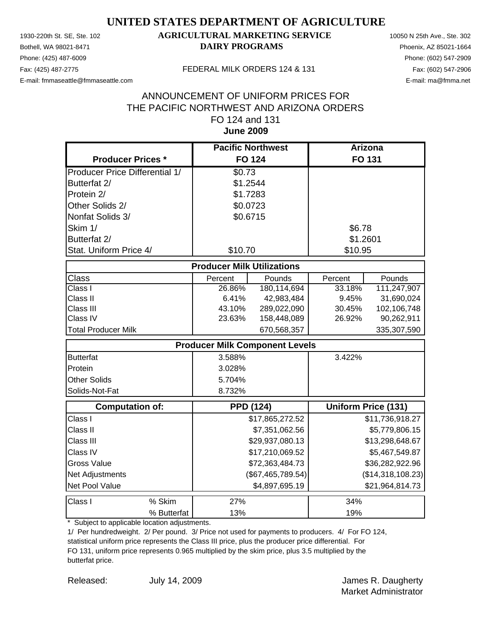Phone: (425) 487-6009 Phone: (602) 547-2909

### 1930-220th St. SE, Ste. 102 **AGRICULTURAL MARKETING SERVICE** 10050 N 25th Ave., Ste. 302 Bothell, WA 98021-8471 **DAIRY PROGRAMS** Phoenix, AZ 85021-1664

E-mail: fmmaseattle@fmmaseattle.com E-mail: ma@fmma.net

#### Fax: (425) 487-2775 FEDERAL MILK ORDERS 124 & 131

### **June 2009** ANNOUNCEMENT OF UNIFORM PRICES FOR THE PACIFIC NORTHWEST AND ARIZONA ORDERS FO 124 and 131

|                                       | <b>Pacific Northwest</b>              |                   | <b>Arizona</b> |                            |
|---------------------------------------|---------------------------------------|-------------------|----------------|----------------------------|
| <b>Producer Prices *</b>              |                                       | <b>FO 124</b>     |                | <b>FO 131</b>              |
| <b>Producer Price Differential 1/</b> | \$0.73                                |                   |                |                            |
| Butterfat 2/                          | \$1.2544                              |                   |                |                            |
| Protein 2/                            | \$1.7283                              |                   |                |                            |
| Other Solids 2/                       | \$0.0723                              |                   |                |                            |
| Nonfat Solids 3/                      | \$0.6715                              |                   |                |                            |
| Skim 1/                               |                                       |                   | \$6.78         |                            |
| Butterfat 2/                          |                                       |                   | \$1.2601       |                            |
| Stat. Uniform Price 4/                | \$10.70                               |                   | \$10.95        |                            |
|                                       | <b>Producer Milk Utilizations</b>     |                   |                |                            |
| Class                                 | Percent                               | Pounds            | Percent        | Pounds                     |
| Class I                               | 26.86%                                | 180,114,694       | 33.18%         | 111,247,907                |
| Class II                              | 6.41%                                 | 42,983,484        | 9.45%          | 31,690,024                 |
| Class III                             | 43.10%                                | 289,022,090       | 30.45%         | 102,106,748                |
| Class IV                              | 23.63%                                | 158,448,089       | 26.92%         | 90,262,911                 |
| <b>Total Producer Milk</b>            |                                       | 670,568,357       |                | 335,307,590                |
|                                       | <b>Producer Milk Component Levels</b> |                   |                |                            |
| <b>Butterfat</b>                      | 3.588%                                |                   | 3.422%         |                            |
| Protein                               | 3.028%                                |                   |                |                            |
| Other Solids                          | 5.704%                                |                   |                |                            |
| Solids-Not-Fat                        | 8.732%                                |                   |                |                            |
| Computation of:                       | <b>PPD (124)</b>                      |                   |                | <b>Uniform Price (131)</b> |
| Class I                               |                                       | \$17,865,272.52   |                | \$11,736,918.27            |
| Class II                              |                                       | \$7,351,062.56    |                | \$5,779,806.15             |
| Class III                             |                                       | \$29,937,080.13   |                | \$13,298,648.67            |
| Class IV                              |                                       | \$17,210,069.52   |                | \$5,467,549.87             |
| <b>Gross Value</b>                    |                                       | \$72,363,484.73   |                | \$36,282,922.96            |
| Net Adjustments                       |                                       | (\$67,465,789.54) |                | (\$14,318,108.23)          |
| Net Pool Value                        |                                       | \$4,897,695.19    |                | \$21,964,814.73            |
| % Skim<br>Class I                     | 27%                                   |                   | 34%            |                            |
| % Butterfat                           | 13%                                   |                   | 19%            |                            |

\* Subject to applicable location adjustments.

1/ Per hundredweight. 2/ Per pound. 3/ Price not used for payments to producers. 4/ For FO 124, statistical uniform price represents the Class III price, plus the producer price differential. For FO 131, uniform price represents 0.965 multiplied by the skim price, plus 3.5 multiplied by the butterfat price.

Released: July 14, 2009 **Container Seleased:** James R. Daugherty Market Administrator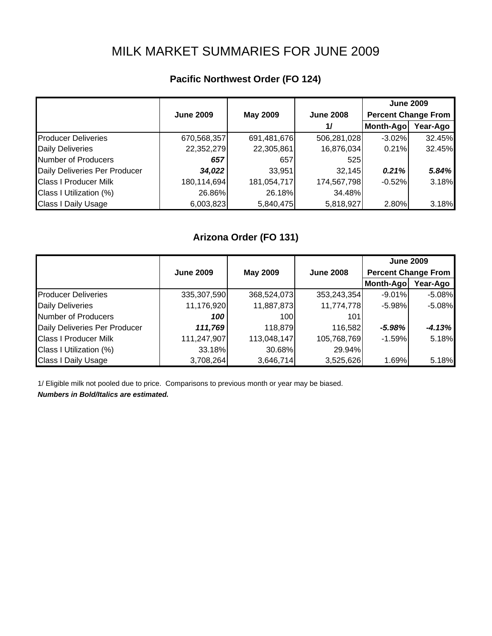# MILK MARKET SUMMARIES FOR JUNE 2009

# **Pacific Northwest Order (FO 124)**

|                               |                  |                 |                  | <b>June 2009</b>           |          |
|-------------------------------|------------------|-----------------|------------------|----------------------------|----------|
|                               | <b>June 2009</b> | <b>May 2009</b> | <b>June 2008</b> | <b>Percent Change From</b> |          |
|                               |                  |                 | $\frac{1}{2}$    | Month-Ago                  | Year-Ago |
| <b>Producer Deliveries</b>    | 670,568,357      | 691,481,676     | 506,281,028      | $-3.02%$                   | 32.45%   |
| <b>Daily Deliveries</b>       | 22,352,279       | 22,305,861      | 16,876,034       | 0.21%                      | 32.45%   |
| Number of Producers           | 657              | 657             | 525              |                            |          |
| Daily Deliveries Per Producer | 34,022           | 33,951          | 32,145           | 0.21%                      | 5.84%    |
| <b>Class I Producer Milk</b>  | 180,114,694      | 181,054,717     | 174,567,798      | $-0.52%$                   | 3.18%    |
| Class I Utilization (%)       | 26.86%           | 26.18%          | 34.48%           |                            |          |
| <b>Class I Daily Usage</b>    | 6,003,823        | 5,840,475       | 5,818,927        | 2.80%                      | 3.18%    |

## **Arizona Order (FO 131)**

|                               |                  |                 |                  | <b>June 2009</b>           |          |  |
|-------------------------------|------------------|-----------------|------------------|----------------------------|----------|--|
|                               | <b>June 2009</b> | <b>May 2009</b> | <b>June 2008</b> | <b>Percent Change From</b> |          |  |
|                               |                  |                 |                  | Month-Ago                  | Year-Ago |  |
| <b>Producer Deliveries</b>    | 335,307,590      | 368,524,073     | 353,243,354      | $-9.01\%$                  | $-5.08%$ |  |
| <b>Daily Deliveries</b>       | 11,176,920       | 11,887,873      | 11,774,778       | $-5.98%$                   | $-5.08%$ |  |
| Number of Producers           | 100              | 100             | 101              |                            |          |  |
| Daily Deliveries Per Producer | 111,769          | 118,879         | 116,582          | $-5.98%$                   | $-4.13%$ |  |
| <b>Class I Producer Milk</b>  | 111,247,907      | 113,048,147     | 105,768,769      | $-1.59%$                   | 5.18%    |  |
| Class I Utilization (%)       | 33.18%           | 30.68%          | 29.94%           |                            |          |  |
| <b>Class I Daily Usage</b>    | 3,708,264        | 3,646,714       | 3,525,626        | 1.69%                      | 5.18%    |  |

1/ Eligible milk not pooled due to price. Comparisons to previous month or year may be biased.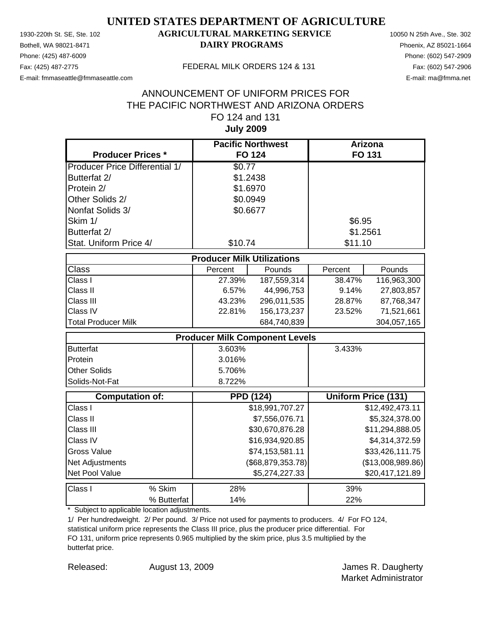Phone: (425) 487-6009 Phone: (602) 547-2909 E-mail: fmmaseattle@fmmaseattle.com E-mail: ma@fmma.net

### 1930-220th St. SE, Ste. 102 **AGRICULTURAL MARKETING SERVICE** 10050 N 25th Ave., Ste. 302 Bothell, WA 98021-8471 **DAIRY PROGRAMS** Phoenix, AZ 85021-1664

#### Fax: (425) 487-2775 FEDERAL MILK ORDERS 124 & 131

### **July 2009** ANNOUNCEMENT OF UNIFORM PRICES FOR THE PACIFIC NORTHWEST AND ARIZONA ORDERS FO 124 and 131

| <b>Producer Prices *</b>              |             |                                   | <b>Pacific Northwest</b><br><b>FO 124</b> |          | Arizona<br><b>FO 131</b>   |
|---------------------------------------|-------------|-----------------------------------|-------------------------------------------|----------|----------------------------|
| <b>Producer Price Differential 1/</b> |             | \$0.77                            |                                           |          |                            |
| Butterfat 2/                          |             |                                   | \$1.2438                                  |          |                            |
| Protein 2/                            |             |                                   | \$1.6970                                  |          |                            |
| Other Solids 2/                       |             |                                   | \$0.0949                                  |          |                            |
| Nonfat Solids 3/                      |             |                                   | \$0.6677                                  |          |                            |
| Skim 1/                               |             |                                   |                                           | \$6.95   |                            |
| Butterfat 2/                          |             |                                   |                                           | \$1.2561 |                            |
| Stat. Uniform Price 4/                |             | \$10.74                           |                                           | \$11.10  |                            |
|                                       |             | <b>Producer Milk Utilizations</b> |                                           |          |                            |
| <b>Class</b>                          |             | Percent                           | Pounds                                    | Percent  | Pounds                     |
| Class I                               |             | 27.39%                            | 187,559,314                               | 38.47%   | 116,963,300                |
| Class II                              |             | 6.57%                             | 44,996,753                                | 9.14%    | 27,803,857                 |
| Class III                             |             | 43.23%                            | 296,011,535                               | 28.87%   | 87,768,347                 |
| Class IV                              |             | 22.81%                            | 156, 173, 237                             | 23.52%   | 71,521,661                 |
| <b>Total Producer Milk</b>            |             |                                   | 684,740,839                               |          | 304,057,165                |
|                                       |             |                                   | <b>Producer Milk Component Levels</b>     |          |                            |
| <b>Butterfat</b>                      |             | 3.603%                            |                                           | 3.433%   |                            |
| Protein                               |             | 3.016%                            |                                           |          |                            |
| <b>Other Solids</b>                   |             | 5.706%                            |                                           |          |                            |
| Solids-Not-Fat                        |             | 8.722%                            |                                           |          |                            |
| <b>Computation of:</b>                |             |                                   | <b>PPD (124)</b>                          |          | <b>Uniform Price (131)</b> |
| Class I                               |             |                                   | \$18,991,707.27                           |          | \$12,492,473.11            |
| Class II                              |             |                                   | \$7,556,076.71                            |          | \$5,324,378.00             |
| Class III                             |             |                                   | \$30,670,876.28                           |          | \$11,294,888.05            |
| Class IV                              |             |                                   | \$16,934,920.85                           |          | \$4,314,372.59             |
| <b>Gross Value</b>                    |             |                                   | \$74,153,581.11                           |          | \$33,426,111.75            |
| Net Adjustments                       |             |                                   | (\$68,879,353.78)                         |          | (\$13,008,989.86)          |
| Net Pool Value                        |             |                                   | \$5,274,227.33                            |          | \$20,417,121.89            |
| Class I                               | % Skim      | 28%                               |                                           | 39%      |                            |
|                                       | % Butterfat | 14%                               |                                           | 22%      |                            |

\* Subject to applicable location adjustments.

1/ Per hundredweight. 2/ Per pound. 3/ Price not used for payments to producers. 4/ For FO 124, statistical uniform price represents the Class III price, plus the producer price differential. For FO 131, uniform price represents 0.965 multiplied by the skim price, plus 3.5 multiplied by the butterfat price.

Released: August 13, 2009 **August 13, 2009** James R. Daugherty Market Administrator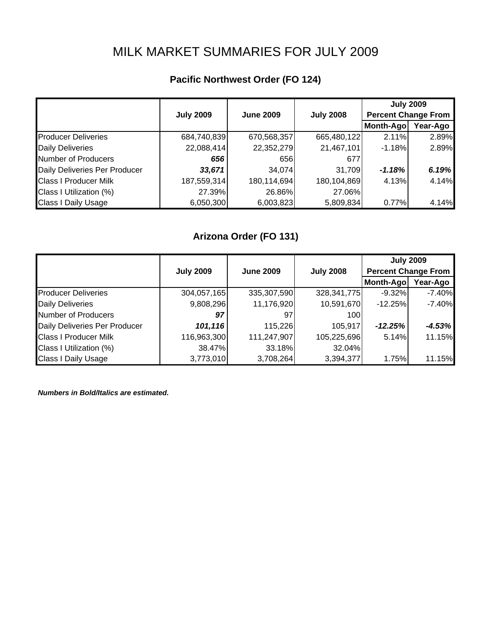# MILK MARKET SUMMARIES FOR JULY 2009

# **Pacific Northwest Order (FO 124)**

|                               |                  |                  |                  | <b>July 2009</b>           |          |  |
|-------------------------------|------------------|------------------|------------------|----------------------------|----------|--|
|                               | <b>July 2009</b> | <b>June 2009</b> | <b>July 2008</b> | <b>Percent Change From</b> |          |  |
|                               |                  |                  |                  | Month-Ago                  | Year-Ago |  |
| <b>Producer Deliveries</b>    | 684,740,839      | 670,568,357      | 665,480,122      | 2.11%                      | 2.89%    |  |
| <b>Daily Deliveries</b>       | 22,088,414       | 22,352,279       | 21,467,101       | $-1.18%$                   | 2.89%    |  |
| Number of Producers           | 656              | 656              | 677              |                            |          |  |
| Daily Deliveries Per Producer | 33,671           | 34,074           | 31,709           | $-1.18%$                   | 6.19%    |  |
| <b>Class I Producer Milk</b>  | 187,559,314      | 180,114,694      | 180,104,869      | 4.13%                      | 4.14%    |  |
| Class I Utilization (%)       | 27.39%           | 26.86%           | 27.06%           |                            |          |  |
| <b>Class I Daily Usage</b>    | 6,050,300        | 6,003,823        | 5,809,834        | 0.77%                      | 4.14%    |  |

## **Arizona Order (FO 131)**

|                               |                  |                  |                  | <b>July 2009</b>           |           |
|-------------------------------|------------------|------------------|------------------|----------------------------|-----------|
|                               | <b>July 2009</b> | <b>June 2009</b> | <b>July 2008</b> | <b>Percent Change From</b> |           |
|                               |                  |                  |                  | Month-Ago                  | Year-Ago  |
| <b>Producer Deliveries</b>    | 304,057,165      | 335,307,590      | 328, 341, 775    | $-9.32%$                   | $-7.40%$  |
| <b>Daily Deliveries</b>       | 9,808,296        | 11,176,920       | 10,591,670       | $-12.25%$                  | $-7.40\%$ |
| Number of Producers           | 97               | 97               | 100              |                            |           |
| Daily Deliveries Per Producer | 101, 116         | 115,226          | 105,917          | $-12.25%$                  | $-4.53%$  |
| <b>Class I Producer Milk</b>  | 116,963,300      | 111,247,907      | 105,225,696      | 5.14%                      | 11.15%    |
| Class I Utilization (%)       | 38.47%           | 33.18%           | 32.04%           |                            |           |
| <b>Class I Daily Usage</b>    | 3,773,010        | 3,708,264        | 3,394,377        | 1.75%                      | 11.15%    |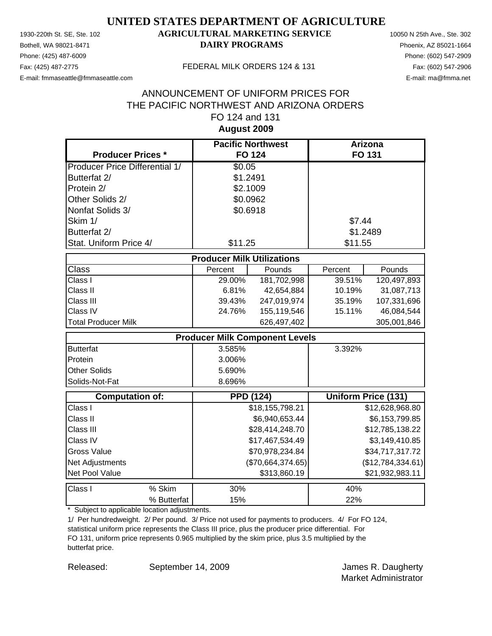Phone: (425) 487-6009 Phone: (602) 547-2909 E-mail: fmmaseattle@fmmaseattle.com E-mail: ma@fmma.net

### 1930-220th St. SE, Ste. 102 **AGRICULTURAL MARKETING SERVICE** 10050 N 25th Ave., Ste. 302 Bothell, WA 98021-8471 **DAIRY PROGRAMS** Phoenix, AZ 85021-1664

#### Fax: (425) 487-2775 FEDERAL MILK ORDERS 124 & 131

### **August 2009** ANNOUNCEMENT OF UNIFORM PRICES FOR THE PACIFIC NORTHWEST AND ARIZONA ORDERS FO 124 and 131

| <b>Producer Prices *</b>              |                                   | <b>Pacific Northwest</b><br><b>FO 124</b> |         | <b>Arizona</b><br><b>FO 131</b> |
|---------------------------------------|-----------------------------------|-------------------------------------------|---------|---------------------------------|
| <b>Producer Price Differential 1/</b> | \$0.05                            |                                           |         |                                 |
| Butterfat 2/                          | \$1.2491                          |                                           |         |                                 |
| Protein 2/                            |                                   | \$2.1009                                  |         |                                 |
| Other Solids 2/                       |                                   | \$0.0962                                  |         |                                 |
| Nonfat Solids 3/                      |                                   | \$0.6918                                  |         |                                 |
| Skim 1/                               |                                   |                                           | \$7.44  |                                 |
| Butterfat 2/                          |                                   |                                           |         | \$1.2489                        |
| Stat. Uniform Price 4/                | \$11.25                           |                                           | \$11.55 |                                 |
|                                       | <b>Producer Milk Utilizations</b> |                                           |         |                                 |
| <b>Class</b>                          | Percent                           | Pounds                                    | Percent | Pounds                          |
| Class I                               | 29.00%                            | 181,702,998                               | 39.51%  | 120,497,893                     |
| Class II                              | 6.81%                             | 42,654,884                                | 10.19%  | 31,087,713                      |
| Class III                             | 39.43%                            | 247,019,974                               | 35.19%  | 107,331,696                     |
| Class IV                              | 24.76%                            | 155,119,546                               | 15.11%  | 46,084,544                      |
| <b>Total Producer Milk</b>            |                                   | 626,497,402                               |         | 305,001,846                     |
|                                       |                                   | <b>Producer Milk Component Levels</b>     |         |                                 |
| <b>Butterfat</b>                      | 3.585%                            |                                           | 3.392%  |                                 |
| Protein                               | 3.006%                            |                                           |         |                                 |
| <b>Other Solids</b>                   | 5.690%                            |                                           |         |                                 |
| Solids-Not-Fat                        | 8.696%                            |                                           |         |                                 |
| <b>Computation of:</b>                |                                   | <b>PPD (124)</b>                          |         | Uniform Price (131)             |
| Class I                               |                                   | \$18,155,798.21                           |         | \$12,628,968.80                 |
| Class II                              |                                   | \$6,940,653.44                            |         | \$6,153,799.85                  |
| Class III                             |                                   | \$28,414,248.70                           |         | \$12,785,138.22                 |
| Class IV                              |                                   | \$17,467,534.49                           |         | \$3,149,410.85                  |
| <b>Gross Value</b>                    |                                   | \$70,978,234.84                           |         | \$34,717,317.72                 |
| Net Adjustments                       |                                   | (\$70,664,374.65)                         |         | (\$12,784,334.61)               |
| Net Pool Value                        |                                   | \$313,860.19                              |         | \$21,932,983.11                 |
| % Skim<br>Class I                     | 30%                               |                                           | 40%     |                                 |
| % Butterfat                           | 15%                               |                                           | 22%     |                                 |

\* Subject to applicable location adjustments.

1/ Per hundredweight. 2/ Per pound. 3/ Price not used for payments to producers. 4/ For FO 124, statistical uniform price represents the Class III price, plus the producer price differential. For FO 131, uniform price represents 0.965 multiplied by the skim price, plus 3.5 multiplied by the butterfat price.

Released: September 14, 2009 **James R. Daugherty** Market Administrator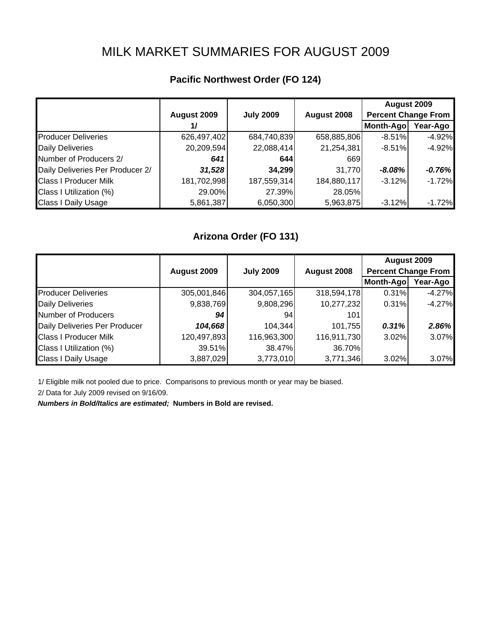# MILK MARKET SUMMARIES FOR AUGUST 2009

|                                  |             |                  |             | August 2009                |          |
|----------------------------------|-------------|------------------|-------------|----------------------------|----------|
|                                  | August 2009 | <b>July 2009</b> | August 2008 | <b>Percent Change From</b> |          |
|                                  | 1/          |                  |             | Month-Ago                  | Year-Ago |
| <b>Producer Deliveries</b>       | 626,497,402 | 684,740,839      | 658,885,806 | $-8.51%$                   | $-4.92%$ |
| <b>Daily Deliveries</b>          | 20,209,594  | 22,088,414       | 21,254,381  | $-8.51%$                   | $-4.92%$ |
| Number of Producers 2/           | 641         | 644              | 669         |                            |          |
| Daily Deliveries Per Producer 2/ | 31,528      | 34,299           | 31,770      | $-8.08\%$                  | $-0.76%$ |
| <b>Class I Producer Milk</b>     | 181,702,998 | 187,559,314      | 184,880,117 | $-3.12%$                   | $-1.72%$ |
| Class I Utilization (%)          | 29.00%      | 27.39%           | 28.05%      |                            |          |
| <b>Class I Daily Usage</b>       | 5,861,387   | 6,050,300        | 5,963,875   | $-3.12%$                   | $-1.72%$ |

## **Pacific Northwest Order (FO 124)**

## **Arizona Order (FO 131)**

|                               |             |                  |             | August 2009                |          |
|-------------------------------|-------------|------------------|-------------|----------------------------|----------|
|                               | August 2009 | <b>July 2009</b> | August 2008 | <b>Percent Change From</b> |          |
|                               |             |                  |             | Month-Ago                  | Year-Ago |
| <b>Producer Deliveries</b>    | 305,001,846 | 304,057,165      | 318,594,178 | 0.31%                      | $-4.27%$ |
| <b>Daily Deliveries</b>       | 9,838,769   | 9,808,296        | 10,277,232  | 0.31%                      | $-4.27%$ |
| Number of Producers           | 94          | 94               | 101         |                            |          |
| Daily Deliveries Per Producer | 104,668     | 104,344          | 101,755     | 0.31%                      | 2.86%    |
| <b>Class I Producer Milk</b>  | 120,497,893 | 116,963,300      | 116,911,730 | 3.02%                      | 3.07%    |
| Class I Utilization (%)       | 39.51%      | 38.47%           | 36.70%      |                            |          |
| <b>Class I Daily Usage</b>    | 3,887,029   | 3,773,010        | 3,771,346   | 3.02%                      | 3.07%    |

1/ Eligible milk not pooled due to price. Comparisons to previous month or year may be biased.

2/ Data for July 2009 revised on 9/16/09.

*Numbers in Bold/Italics are estimated;* **Numbers in Bold are revised.**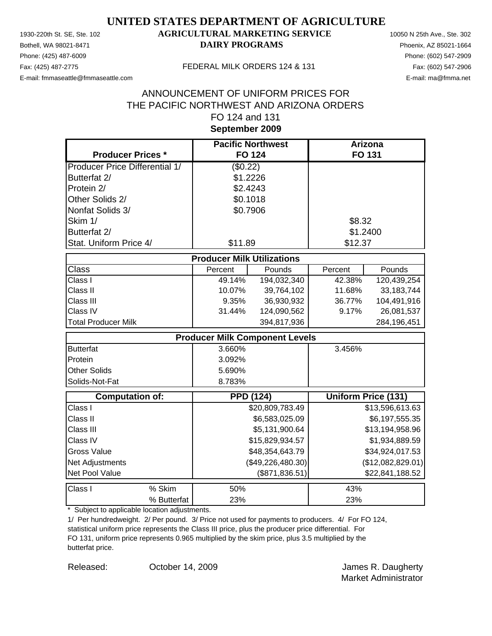Phone: (425) 487-6009 Phone: (602) 547-2909 E-mail: fmmaseattle@fmmaseattle.com E-mail: ma@fmma.net

### 1930-220th St. SE, Ste. 102 **AGRICULTURAL MARKETING SERVICE** 10050 N 25th Ave., Ste. 302 Bothell, WA 98021-8471 **DAIRY PROGRAMS** Phoenix, AZ 85021-1664

#### Fax: (425) 487-2775 FEDERAL MILK ORDERS 124 & 131

### **September 2009** ANNOUNCEMENT OF UNIFORM PRICES FOR THE PACIFIC NORTHWEST AND ARIZONA ORDERS FO 124 and 131

| <b>Producer Prices *</b>              |                                   | <b>Pacific Northwest</b><br><b>FO 124</b> |         | Arizona<br><b>FO 131</b>   |
|---------------------------------------|-----------------------------------|-------------------------------------------|---------|----------------------------|
| <b>Producer Price Differential 1/</b> | (\$0.22)                          |                                           |         |                            |
| Butterfat 2/                          | \$1.2226                          |                                           |         |                            |
| Protein 2/                            | \$2.4243                          |                                           |         |                            |
| Other Solids 2/                       | \$0.1018                          |                                           |         |                            |
| Nonfat Solids 3/                      | \$0.7906                          |                                           |         |                            |
| Skim 1/                               |                                   |                                           | \$8.32  |                            |
| Butterfat 2/                          |                                   |                                           |         | \$1.2400                   |
| Stat. Uniform Price 4/                | \$11.89                           |                                           | \$12.37 |                            |
|                                       | <b>Producer Milk Utilizations</b> |                                           |         |                            |
| <b>Class</b>                          | Percent                           | Pounds                                    | Percent | Pounds                     |
| Class I                               | 49.14%                            | 194,032,340                               | 42.38%  | 120,439,254                |
| Class II                              | 10.07%                            | 39,764,102                                | 11.68%  | 33,183,744                 |
| Class III                             | 9.35%                             | 36,930,932                                | 36.77%  | 104,491,916                |
| Class IV                              | 31.44%                            | 124,090,562                               | 9.17%   | 26,081,537                 |
| <b>Total Producer Milk</b>            |                                   | 394,817,936                               |         | 284,196,451                |
|                                       |                                   | <b>Producer Milk Component Levels</b>     |         |                            |
| <b>Butterfat</b>                      | 3.660%                            |                                           | 3.456%  |                            |
| Protein                               | 3.092%                            |                                           |         |                            |
| <b>Other Solids</b>                   | 5.690%                            |                                           |         |                            |
| Solids-Not-Fat                        | 8.783%                            |                                           |         |                            |
| <b>Computation of:</b>                |                                   | <b>PPD (124)</b>                          |         | <b>Uniform Price (131)</b> |
| Class I                               |                                   | \$20,809,783.49                           |         | \$13,596,613.63            |
| Class II                              |                                   | \$6,583,025.09                            |         | \$6,197,555.35             |
| Class III                             |                                   | \$5,131,900.64                            |         | \$13,194,958.96            |
| Class IV                              |                                   | \$15,829,934.57                           |         | \$1,934,889.59             |
| <b>Gross Value</b>                    |                                   | \$48,354,643.79                           |         | \$34,924,017.53            |
| Net Adjustments                       |                                   | (\$49,226,480.30)                         |         | (\$12,082,829.01)          |
| Net Pool Value                        |                                   | (\$871, 836.51)                           |         | \$22,841,188.52            |
| Class I<br>% Skim                     | 50%                               |                                           | 43%     |                            |
| % Butterfat                           | 23%                               |                                           | 23%     |                            |

\* Subject to applicable location adjustments.

1/ Per hundredweight. 2/ Per pound. 3/ Price not used for payments to producers. 4/ For FO 124, statistical uniform price represents the Class III price, plus the producer price differential. For FO 131, uniform price represents 0.965 multiplied by the skim price, plus 3.5 multiplied by the butterfat price.

Released: Corober 14, 2009 Corober 14, 2009 Coronave Mannes R. Daugherty Market Administrator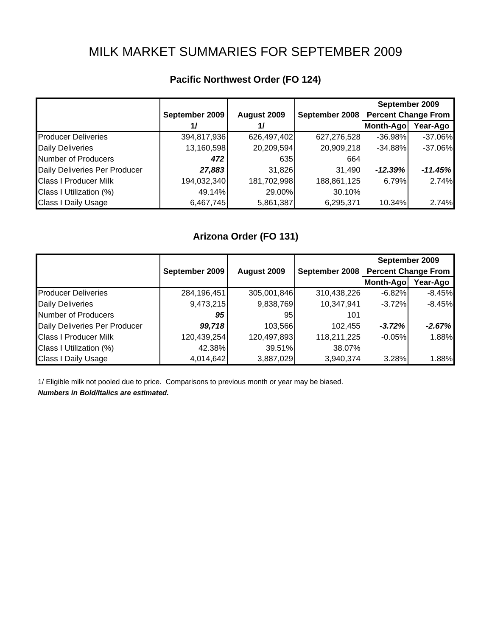# MILK MARKET SUMMARIES FOR SEPTEMBER 2009

|                               |                |             |                | September 2009             |           |
|-------------------------------|----------------|-------------|----------------|----------------------------|-----------|
|                               | September 2009 | August 2009 | September 2008 | <b>Percent Change From</b> |           |
|                               | 1/             | 1/          |                | Month-Ago                  | Year-Ago  |
| <b>Producer Deliveries</b>    | 394,817,936    | 626,497,402 | 627,276,528    | $-36.98%$                  | $-37.06%$ |
| <b>Daily Deliveries</b>       | 13,160,598     | 20,209,594  | 20,909,218     | $-34.88%$                  | $-37.06%$ |
| <b>Number of Producers</b>    | 472            | 635         | 664            |                            |           |
| Daily Deliveries Per Producer | 27,883         | 31,826      | 31,490         | $-12.39%$                  | $-11.45%$ |
| <b>Class I Producer Milk</b>  | 194,032,340    | 181,702,998 | 188,861,125    | 6.79%                      | 2.74%     |
| Class I Utilization (%)       | 49.14%         | 29.00%      | 30.10%         |                            |           |
| <b>Class I Daily Usage</b>    | 6,467,745      | 5,861,387   | 6,295,371      | 10.34%                     | 2.74%     |

# **Pacific Northwest Order (FO 124)**

## **Arizona Order (FO 131)**

|                               |                |             |                | September 2009             |          |  |
|-------------------------------|----------------|-------------|----------------|----------------------------|----------|--|
|                               | September 2009 | August 2009 | September 2008 | <b>Percent Change From</b> |          |  |
|                               |                |             |                | Month-Ago                  | Year-Ago |  |
| <b>Producer Deliveries</b>    | 284,196,451    | 305,001,846 | 310,438,226    | $-6.82%$                   | $-8.45%$ |  |
| <b>Daily Deliveries</b>       | 9,473,215      | 9,838,769   | 10,347,941     | $-3.72%$                   | $-8.45%$ |  |
| Number of Producers           | 95             | 95          | 101            |                            |          |  |
| Daily Deliveries Per Producer | 99,718         | 103,566     | 102,455        | $-3.72%$                   | $-2.67%$ |  |
| <b>Class I Producer Milk</b>  | 120,439,254    | 120,497,893 | 118,211,225    | $-0.05%$                   | 1.88%    |  |
| Class I Utilization (%)       | 42.38%         | 39.51%      | 38.07%         |                            |          |  |
| <b>Class I Daily Usage</b>    | 4,014,642      | 3,887,029   | 3,940,374      | 3.28%                      | 1.88%    |  |

1/ Eligible milk not pooled due to price. Comparisons to previous month or year may be biased.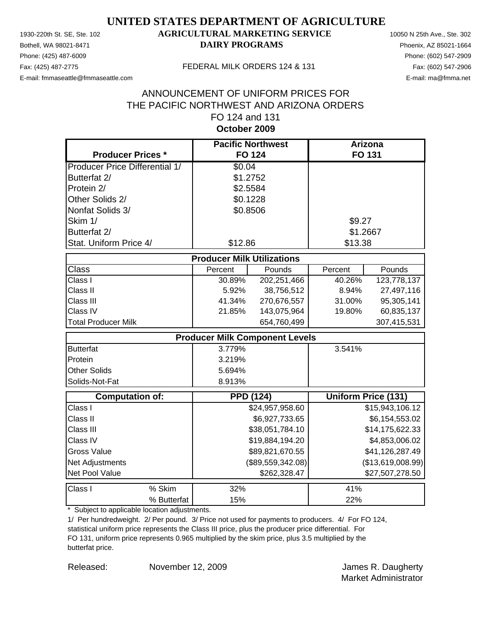Phone: (425) 487-6009 Phone: (602) 547-2909 E-mail: fmmaseattle@fmmaseattle.com E-mail: ma@fmma.net

### 1930-220th St. SE, Ste. 102 **AGRICULTURAL MARKETING SERVICE** 10050 N 25th Ave., Ste. 302 Bothell, WA 98021-8471 **DAIRY PROGRAMS** Phoenix, AZ 85021-1664

#### Fax: (425) 487-2775 FEDERAL MILK ORDERS 124 & 131

### **October 2009** ANNOUNCEMENT OF UNIFORM PRICES FOR THE PACIFIC NORTHWEST AND ARIZONA ORDERS FO 124 and 131

| <b>Producer Prices *</b>              |                                   | <b>Pacific Northwest</b><br><b>FO 124</b> |         | Arizona<br><b>FO 131</b>   |
|---------------------------------------|-----------------------------------|-------------------------------------------|---------|----------------------------|
| <b>Producer Price Differential 1/</b> | \$0.04                            |                                           |         |                            |
| Butterfat 2/                          |                                   | \$1.2752                                  |         |                            |
| Protein 2/                            | \$2.5584                          |                                           |         |                            |
| Other Solids 2/                       |                                   | \$0.1228                                  |         |                            |
| Nonfat Solids 3/                      |                                   | \$0.8506                                  |         |                            |
| Skim 1/                               |                                   |                                           | \$9.27  |                            |
| Butterfat 2/                          |                                   |                                           |         | \$1.2667                   |
| Stat. Uniform Price 4/                | \$12.86                           |                                           | \$13.38 |                            |
|                                       | <b>Producer Milk Utilizations</b> |                                           |         |                            |
| <b>Class</b>                          | Percent                           | Pounds                                    | Percent | Pounds                     |
| Class I                               | 30.89%                            | 202,251,466                               | 40.26%  | 123,778,137                |
| Class II                              | 5.92%                             | 38,756,512                                | 8.94%   | 27,497,116                 |
| Class III                             | 41.34%                            | 270,676,557                               | 31.00%  | 95,305,141                 |
| Class IV                              | 21.85%                            | 143,075,964                               | 19.80%  | 60,835,137                 |
| <b>Total Producer Milk</b>            |                                   | 654,760,499                               |         | 307,415,531                |
|                                       |                                   | <b>Producer Milk Component Levels</b>     |         |                            |
| <b>Butterfat</b>                      | 3.779%                            |                                           | 3.541%  |                            |
| Protein                               | 3.219%                            |                                           |         |                            |
| <b>Other Solids</b>                   | 5.694%                            |                                           |         |                            |
| Solids-Not-Fat                        | 8.913%                            |                                           |         |                            |
| <b>Computation of:</b>                |                                   | <b>PPD (124)</b>                          |         | <b>Uniform Price (131)</b> |
| Class I                               |                                   | \$24,957,958.60                           |         | \$15,943,106.12            |
| Class II                              |                                   | \$6,927,733.65                            |         | \$6,154,553.02             |
| Class III                             |                                   | \$38,051,784.10                           |         | \$14,175,622.33            |
| Class IV                              |                                   | \$19,884,194.20                           |         | \$4,853,006.02             |
| <b>Gross Value</b>                    |                                   | \$89,821,670.55                           |         | \$41,126,287.49            |
| Net Adjustments                       |                                   | (\$89,559,342.08)                         |         | (\$13,619,008.99)          |
| Net Pool Value                        |                                   | \$262,328.47                              |         | \$27,507,278.50            |
| Class I<br>% Skim                     | 32%                               |                                           | 41%     |                            |
| % Butterfat                           | 15%                               |                                           | 22%     |                            |

\* Subject to applicable location adjustments.

1/ Per hundredweight. 2/ Per pound. 3/ Price not used for payments to producers. 4/ For FO 124, statistical uniform price represents the Class III price, plus the producer price differential. For FO 131, uniform price represents 0.965 multiplied by the skim price, plus 3.5 multiplied by the butterfat price.

Released: Movember 12, 2009 **Container Manual American Contains Container** Paugherty Market Administrator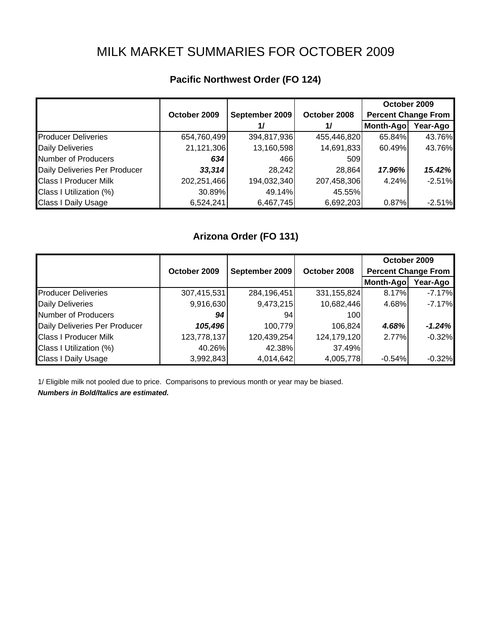# MILK MARKET SUMMARIES FOR OCTOBER 2009

|                               |              |                |              | October 2009               |          |
|-------------------------------|--------------|----------------|--------------|----------------------------|----------|
|                               | October 2009 | September 2009 | October 2008 | <b>Percent Change From</b> |          |
|                               |              | 1/             | 1/           | Month-Ago                  | Year-Ago |
| <b>Producer Deliveries</b>    | 654,760,499  | 394,817,936    | 455,446,820  | 65.84%                     | 43.76%   |
| <b>Daily Deliveries</b>       | 21,121,306   | 13,160,598     | 14,691,833   | 60.49%                     | 43.76%   |
| Number of Producers           | 634          | 466            | 509          |                            |          |
| Daily Deliveries Per Producer | 33,314       | 28,242         | 28,864       | 17.96%                     | 15.42%   |
| <b>Class I Producer Milk</b>  | 202,251,466  | 194,032,340    | 207,458,306  | 4.24%                      | $-2.51%$ |
| Class I Utilization (%)       | 30.89%       | 49.14%         | 45.55%       |                            |          |
| <b>Class I Daily Usage</b>    | 6,524,241    | 6,467,745      | 6,692,203    | 0.87%                      | $-2.51%$ |

## **Pacific Northwest Order (FO 124)**

# **Arizona Order (FO 131)**

|                               |              |                |              | October 2009               |          |
|-------------------------------|--------------|----------------|--------------|----------------------------|----------|
|                               | October 2009 | September 2009 | October 2008 | <b>Percent Change From</b> |          |
|                               |              |                |              | Month-Ago                  | Year-Ago |
| <b>Producer Deliveries</b>    | 307,415,531  | 284,196,451    | 331,155,824  | 8.17%                      | $-7.17%$ |
| <b>Daily Deliveries</b>       | 9,916,630    | 9,473,215      | 10,682,446   | 4.68%                      | $-7.17%$ |
| <b>Number of Producers</b>    | 94           | 941            | 100          |                            |          |
| Daily Deliveries Per Producer | 105,496      | 100,779        | 106,824      | 4.68%                      | $-1.24%$ |
| <b>Class I Producer Milk</b>  | 123,778,137  | 120,439,254    | 124,179,120  | 2.77%                      | $-0.32%$ |
| Class I Utilization (%)       | 40.26%       | 42.38%         | 37.49%       |                            |          |
| <b>Class I Daily Usage</b>    | 3,992,843    | 4,014,642      | 4,005,778    | $-0.54%$                   | $-0.32%$ |

1/ Eligible milk not pooled due to price. Comparisons to previous month or year may be biased.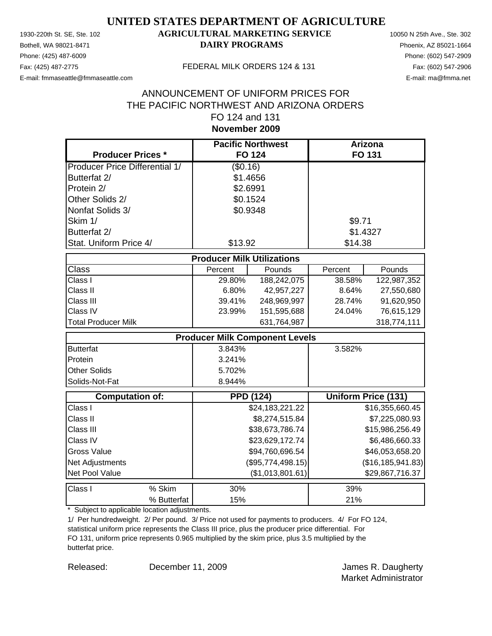Phone: (425) 487-6009 Phone: (602) 547-2909 E-mail: fmmaseattle@fmmaseattle.com E-mail: ma@fmma.net

### 1930-220th St. SE, Ste. 102 **AGRICULTURAL MARKETING SERVICE** 10050 N 25th Ave., Ste. 302 Bothell, WA 98021-8471 **DAIRY PROGRAMS** Phoenix, AZ 85021-1664

#### Fax: (425) 487-2775 FEDERAL MILK ORDERS 124 & 131

### **November 2009** ANNOUNCEMENT OF UNIFORM PRICES FOR THE PACIFIC NORTHWEST AND ARIZONA ORDERS FO 124 and 131

| <b>Producer Prices *</b>              | <b>Pacific Northwest</b><br><b>FO 124</b> |                   |          | Arizona<br>FO 131          |
|---------------------------------------|-------------------------------------------|-------------------|----------|----------------------------|
| <b>Producer Price Differential 1/</b> | (\$0.16)                                  |                   |          |                            |
| Butterfat 2/                          | \$1.4656                                  |                   |          |                            |
| Protein 2/                            | \$2.6991                                  |                   |          |                            |
| Other Solids 2/                       | \$0.1524                                  |                   |          |                            |
| Nonfat Solids 3/                      | \$0.9348                                  |                   |          |                            |
| Skim 1/                               |                                           |                   | \$9.71   |                            |
| Butterfat 2/                          |                                           |                   | \$1.4327 |                            |
| Stat. Uniform Price 4/                | \$13.92                                   |                   | \$14.38  |                            |
|                                       |                                           |                   |          |                            |
|                                       | <b>Producer Milk Utilizations</b>         |                   |          |                            |
| <b>Class</b>                          | Percent                                   | Pounds            | Percent  | Pounds                     |
| Class I                               | 29.80%                                    | 188,242,075       | 38.58%   | 122,987,352                |
| Class II                              | 6.80%                                     | 42,957,227        | 8.64%    | 27,550,680                 |
| Class III                             | 39.41%                                    | 248,969,997       | 28.74%   | 91,620,950                 |
| Class IV                              | 23.99%                                    | 151,595,688       | 24.04%   | 76,615,129                 |
| <b>Total Producer Milk</b>            |                                           | 631,764,987       |          | 318,774,111                |
|                                       | <b>Producer Milk Component Levels</b>     |                   |          |                            |
| <b>Butterfat</b>                      | 3.843%                                    |                   | 3.582%   |                            |
| Protein                               | 3.241%                                    |                   |          |                            |
| <b>Other Solids</b>                   | 5.702%                                    |                   |          |                            |
| Solids-Not-Fat                        | 8.944%                                    |                   |          |                            |
| <b>Computation of:</b>                | <b>PPD (124)</b>                          |                   |          | <b>Uniform Price (131)</b> |
| Class I                               |                                           | \$24,183,221.22   |          | \$16,355,660.45            |
| Class II                              |                                           | \$8,274,515.84    |          | \$7,225,080.93             |
| Class III                             |                                           | \$38,673,786.74   |          | \$15,986,256.49            |
| Class IV                              |                                           | \$23,629,172.74   |          | \$6,486,660.33             |
| <b>Gross Value</b>                    |                                           | \$94,760,696.54   |          | \$46,053,658.20            |
| Net Adjustments                       |                                           | (\$95,774,498.15) |          | (\$16, 185, 941.83)        |
| Net Pool Value                        |                                           | (\$1,013,801.61)  |          | \$29,867,716.37            |
| Class I<br>% Skim                     | 30%                                       |                   | 39%      |                            |
| % Butterfat                           | 15%                                       |                   | 21%      |                            |

\* Subject to applicable location adjustments.

1/ Per hundredweight. 2/ Per pound. 3/ Price not used for payments to producers. 4/ For FO 124, statistical uniform price represents the Class III price, plus the producer price differential. For FO 131, uniform price represents 0.965 multiplied by the skim price, plus 3.5 multiplied by the butterfat price.

Released: Camber 11, 2009 Contract and Manuel R. Daugherty Market Administrator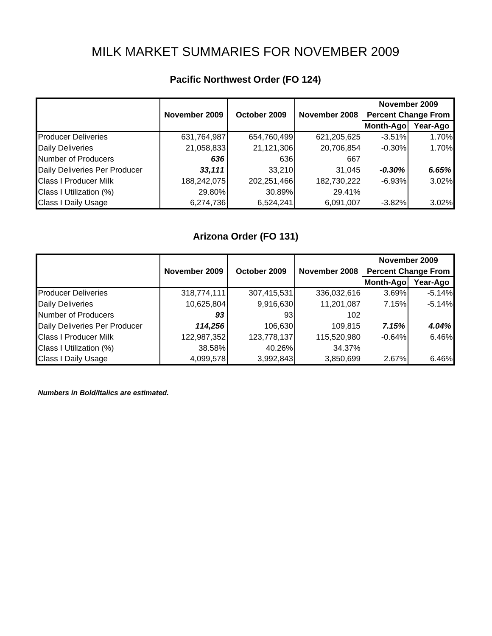# MILK MARKET SUMMARIES FOR NOVEMBER 2009

|                               |               |              |               |                            | November 2009 |  |
|-------------------------------|---------------|--------------|---------------|----------------------------|---------------|--|
|                               | November 2009 | October 2009 | November 2008 | <b>Percent Change From</b> |               |  |
|                               |               |              |               | Month-Ago                  | Year-Ago      |  |
| <b>Producer Deliveries</b>    | 631,764,987   | 654,760,499  | 621,205,625   | $-3.51\%$                  | 1.70%         |  |
| <b>Daily Deliveries</b>       | 21,058,833    | 21,121,306   | 20,706,854    | $-0.30%$                   | 1.70%         |  |
| Number of Producers           | 636           | 636          | 667           |                            |               |  |
| Daily Deliveries Per Producer | 33,111        | 33,210       | 31,045        | $-0.30\%$                  | 6.65%         |  |
| <b>Class I Producer Milk</b>  | 188,242,075   | 202,251,466  | 182,730,222   | $-6.93%$                   | 3.02%         |  |
| Class I Utilization (%)       | 29.80%        | 30.89%       | 29.41%        |                            |               |  |
| <b>Class I Daily Usage</b>    | 6,274,736     | 6,524,241    | 6,091,007     | $-3.82%$                   | 3.02%         |  |

# **Pacific Northwest Order (FO 124)**

## **Arizona Order (FO 131)**

|                               |               |              |               |                            | November 2009 |  |
|-------------------------------|---------------|--------------|---------------|----------------------------|---------------|--|
|                               | November 2009 | October 2009 | November 2008 | <b>Percent Change From</b> |               |  |
|                               |               |              |               | Month-Ago                  | Year-Ago      |  |
| <b>Producer Deliveries</b>    | 318,774,111   | 307,415,531  | 336,032,616   | 3.69%                      | $-5.14%$      |  |
| <b>Daily Deliveries</b>       | 10,625,804    | 9,916,630    | 11,201,087    | 7.15%                      | $-5.14%$      |  |
| Number of Producers           | 93            | 931          | 102           |                            |               |  |
| Daily Deliveries Per Producer | 114,256       | 106,630      | 109,815       | 7.15%                      | 4.04%         |  |
| <b>Class I Producer Milk</b>  | 122,987,352   | 123,778,137  | 115,520,980   | $-0.64%$                   | 6.46%         |  |
| Class I Utilization (%)       | 38.58%        | 40.26%       | 34.37%        |                            |               |  |
| <b>Class I Daily Usage</b>    | 4,099,578     | 3,992,843    | 3,850,699     | 2.67%                      | 6.46%         |  |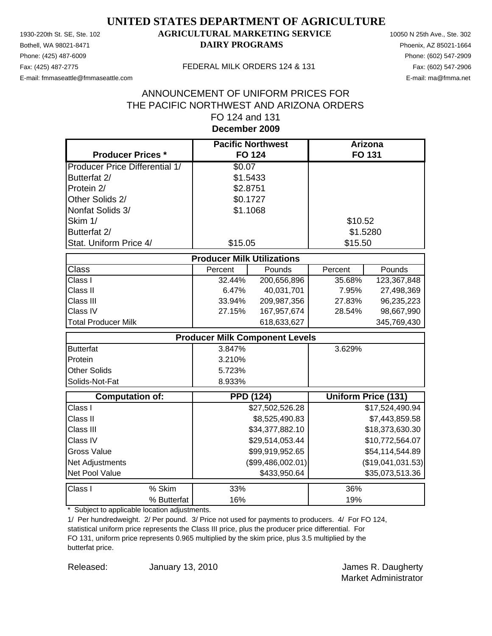Phone: (425) 487-6009 Phone: (602) 547-2909 E-mail: fmmaseattle@fmmaseattle.com E-mail: ma@fmma.net

### 1930-220th St. SE, Ste. 102 **AGRICULTURAL MARKETING SERVICE** 10050 N 25th Ave., Ste. 302 Bothell, WA 98021-8471 **DAIRY PROGRAMS** Phoenix, AZ 85021-1664

#### Fax: (425) 487-2775 FEDERAL MILK ORDERS 124 & 131

### **December 2009** ANNOUNCEMENT OF UNIFORM PRICES FOR THE PACIFIC NORTHWEST AND ARIZONA ORDERS FO 124 and 131

| <b>Producer Prices *</b>              |             |                                   | <b>Pacific Northwest</b><br><b>FO 124</b> |         | <b>Arizona</b><br><b>FO 131</b> |
|---------------------------------------|-------------|-----------------------------------|-------------------------------------------|---------|---------------------------------|
| <b>Producer Price Differential 1/</b> |             | \$0.07                            |                                           |         |                                 |
| Butterfat 2/                          |             | \$1.5433                          |                                           |         |                                 |
| Protein 2/                            |             | \$2.8751                          |                                           |         |                                 |
| Other Solids 2/                       |             | \$0.1727                          |                                           |         |                                 |
| Nonfat Solids 3/                      |             | \$1.1068                          |                                           |         |                                 |
| Skim 1/                               |             |                                   |                                           | \$10.52 |                                 |
| Butterfat 2/                          |             |                                   |                                           |         | \$1.5280                        |
| Stat. Uniform Price 4/                |             | \$15.05                           |                                           | \$15.50 |                                 |
|                                       |             | <b>Producer Milk Utilizations</b> |                                           |         |                                 |
| <b>Class</b>                          |             | Percent                           | Pounds                                    | Percent | Pounds                          |
| Class I                               |             | 32.44%                            | 200,656,896                               | 35.68%  | 123,367,848                     |
| Class II                              |             | 6.47%                             | 40,031,701                                | 7.95%   | 27,498,369                      |
| Class III                             |             | 33.94%                            | 209,987,356                               | 27.83%  | 96,235,223                      |
| Class IV                              |             | 27.15%                            | 167,957,674                               | 28.54%  | 98,667,990                      |
| <b>Total Producer Milk</b>            |             |                                   | 618,633,627                               |         | 345,769,430                     |
|                                       |             |                                   | <b>Producer Milk Component Levels</b>     |         |                                 |
| <b>Butterfat</b>                      |             | 3.847%                            |                                           | 3.629%  |                                 |
| Protein                               |             | 3.210%                            |                                           |         |                                 |
| <b>Other Solids</b>                   |             | 5.723%                            |                                           |         |                                 |
| Solids-Not-Fat                        |             | 8.933%                            |                                           |         |                                 |
| <b>Computation of:</b>                |             |                                   | <b>PPD (124)</b>                          |         | Uniform Price (131)             |
| Class I                               |             |                                   | \$27,502,526.28                           |         | \$17,524,490.94                 |
| Class II                              |             |                                   | \$8,525,490.83                            |         | \$7,443,859.58                  |
| Class III                             |             |                                   | \$34,377,882.10                           |         | \$18,373,630.30                 |
| Class IV                              |             |                                   | \$29,514,053.44                           |         | \$10,772,564.07                 |
| <b>Gross Value</b>                    |             |                                   | \$99,919,952.65                           |         | \$54,114,544.89                 |
| Net Adjustments                       |             |                                   | (\$99,486,002.01)                         |         | (\$19,041,031.53)               |
| Net Pool Value                        |             |                                   | \$433,950.64                              |         | \$35,073,513.36                 |
| Class I                               | % Skim      | 33%                               |                                           | 36%     |                                 |
|                                       | % Butterfat | 16%                               |                                           | 19%     |                                 |

\* Subject to applicable location adjustments.

1/ Per hundredweight. 2/ Per pound. 3/ Price not used for payments to producers. 4/ For FO 124, statistical uniform price represents the Class III price, plus the producer price differential. For FO 131, uniform price represents 0.965 multiplied by the skim price, plus 3.5 multiplied by the butterfat price.

Released: January 13, 2010 **Canada Exercise Set Exercise Set A** James R. Daugherty Market Administrator